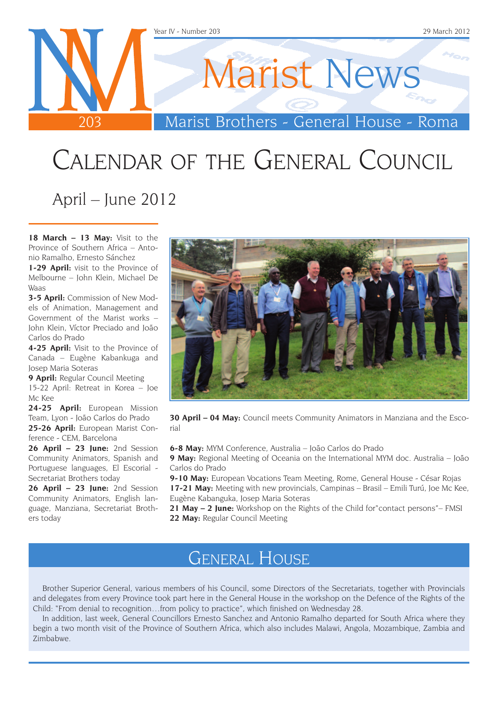

## Calendar of the General Council April – June 2012

**18 March – 13 May:** Visit to the Province of Southern Africa – Antonio Ramalho, Ernesto Sánchez

**1-29 April:** visit to the Province of Melbourne – John Klein, Michael De Waas

**3-5 April:** Commission of New Models of Animation, Management and Government of the Marist works – John Klein, Víctor Preciado and João Carlos do Prado

**4-25 April:** Visit to the Province of Canada – Eugène Kabankuga and Josep Maria Soteras

**9 April:** Regular Council Meeting

15-22 April: Retreat in Korea – Joe Mc Kee

**24-25 April:** European Mission Team, Lyon - João Carlos do Prado **25-26 April:** European Marist Con-

ference - CEM, Barcelona **26 April – 23 June:** 2nd Session Community Animators, Spanish and

Portuguese languages, El Escorial - Secretariat Brothers today

**26 April – 23 June:** 2nd Session Community Animators, English language, Manziana, Secretariat Brothers today



**30 April – 04 May:** Council meets Community Animators in Manziana and the Escorial

**6-8 May:** MYM Conference, Australia – João Carlos do Prado

**9 May:** Regional Meeting of Oceania on the International MYM doc. Australia – João Carlos do Prado

9-10 May: European Vocations Team Meeting, Rome, General House - César Rojas **17-21 May:** Meeting with new provincials, Campinas – Brasil – Emili Turú, Joe Mc Kee, Eugène Kabanguka, Josep Maria Soteras

**21 May – 2 June:** Workshop on the Rights of the Child for"contact persons"– FMSI **22 May:** Regular Council Meeting

#### General House

Brother Superior General, various members of his Council, some Directors of the Secretariats, together with Provincials and delegates from every Province took part here in the General House in the workshop on the Defence of the Rights of the Child: "From denial to recognition…from policy to practice", which finished on Wednesday 28.

In addition, last week, General Councillors Ernesto Sanchez and Antonio Ramalho departed for South Africa where they begin a two month visit of the Province of Southern Africa, which also includes Malawi, Angola, Mozambique, Zambia and Zimbabwe.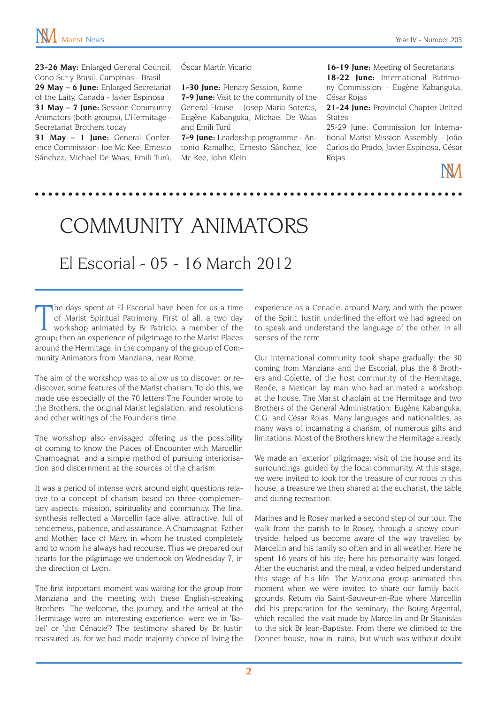**23-26 May:** Enlarged General Council, Cono Sur y Brasil, Campinas - Brasil **29 May – 6 June:** Enlarged Secretariat of the Laity, Canada - Javier Espinosa **31 May – 7 June:** Session Community Animators (both groups), L'Hermitage - Secretariat Brothers today

**31 May – 1 June:** General Conference Commission: Joe Mc Kee, Ernesto Sánchez, Michael De Waas, Emili Turú, Óscar Martín Vicario

**1-30 June:** Plenary Session, Rome

**7-9 June:** Visit to the community of the General House – Josep Maria Soteras, Eugène Kabanguka, Michael De Waas and Emili Turú

**7-9 June:** Leadership programme - Antonio Ramalho, Ernesto Sánchez, Joe Mc Kee, John Klein

**16-19 June:** Meeting of Secretariats **18-22 June:** International Patrimony Commission – Eugène Kabanguka, César Rojas

**21-24 June:** Provincial Chapter United States

25-29 June: Commission for International Marist Mission Assembly - João Carlos do Prado, Javier Espinosa, César Rojas

### community animators

#### El Escorial - 05 - 16 March 2012

The days spent at El Escorial have been for us a time of Marist Spiritual Patrimony. First of all, a two day workshop animated by Br Patricio, a member of the group; then an experience of pilgrimage to the Marist Places he days spent at El Escorial have been for us a time of Marist Spiritual Patrimony. First of all, a two day workshop animated by Br Patricio, a member of the around the Hermitage, in the company of the group of Community Animators from Manziana, near Rome.

The aim of the workshop was to allow us to discover, or rediscover, some features of the Marist charism. To do this, we made use especially of the 70 letters The Founder wrote to the Brothers, the original Marist legislation, and resolutions and other writings of the Founder's time.

The workshop also envisaged offering us the possibility of coming to know the Places of Encounter with Marcellin Champagnat and a simple method of pursuing interiorisation and discernment at the sources of the charism.

It was a period of intense work around eight questions relative to a concept of charism based on three complementary aspects: mission, spirituality and community. The final synthesis reflected a Marcellin face alive, attractive, full of tenderness, patience, and assurance. A Champagnat Father and Mother, face of Mary, in whom he trusted completely and to whom he always had recourse. Thus we prepared our hearts for the pilgrimage we undertook on Wednesday 7, in the direction of Lyon.

The first important moment was waiting for the group from Manziana and the meeting with these English-speaking Brothers. The welcome, the journey, and the arrival at the Hermitage were an interesting experience: were we in 'Babel' or 'the Cénacle'? The testimony shared by Br Justin reassured us, for we had made majority choice of living the experience as a Cenacle, around Mary, and with the power of the Spirit. Justin underlined the effort we had agreed on to speak and understand the language of the other, in all senses of the term.

Our international community took shape gradually: the 30 coming from Manziana and the Escorial, plus the 8 Brothers and Colette, of the host community of the Hermitage, Renée, a Mexican lay man who had animated a workshop at the house, The Marist chaplain at the Hermitage and two Brothers of the General Administration: Eugène Kabanguka, C.G. and César Rojas. Many languages and nationalities, as many ways of incarnating a charism, of numerous gifts and limitations. Most of the Brothers knew the Hermitage already.

We made an 'exterior' pilgrimage: visit of the house and its surroundings, guided by the local community. At this stage, we were invited to look for the treasure of our roots in this house, a treasure we then shared at the eucharist, the table and during recreation.

Marlhes and le Rosey marked a second step of our tour. The walk from the parish to le Rosey, through a snowy countryside, helped us become aware of the way travelled by Marcellin and his family so often and in all weather. Here he spent 16 years of his life; here his personality was forged. After the eucharist and the meal, a video helped understand this stage of his life. The Manziana group animated this moment when we were invited to share our family backgrounds. Return via Saint-Sauveur-en-Rue where Marcellin did his preparation for the seminary; the Bourg-Argental, which recalled the visit made by Marcellin and Br Stanislas to the sick Br Jean-Baptiste. From there we climbed to the Donnet house, now in ruins, but which was without doubt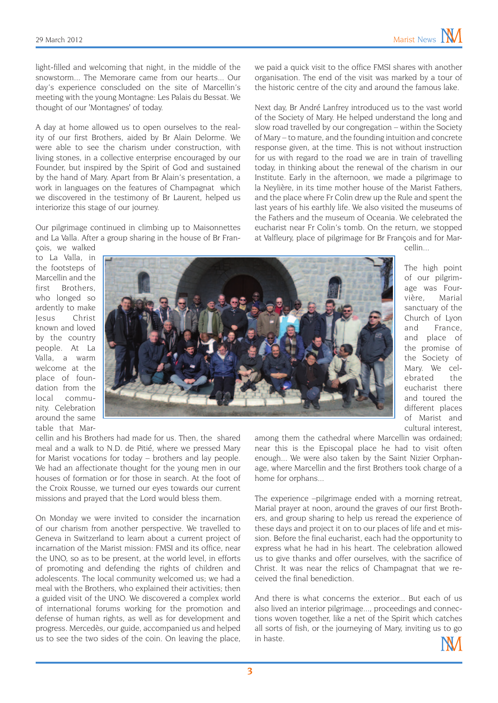light-filled and welcoming that night, in the middle of the snowstorm... The Memorare came from our hearts... Our day's experience conscluded on the site of Marcellin's meeting with the young Montagne: Les Palais du Bessat. We thought of our 'Montagnes' of today.

A day at home allowed us to open ourselves to the reality of our first Brothers, aided by Br Alain Delorme. We were able to see the charism under construction, with living stones, in a collective enterprise encouraged by our Founder, but inspired by the Spirit of God and sustained by the hand of Mary. Apart from Br Alain's presentation, a work in languages on the features of Champagnat which we discovered in the testimony of Br Laurent, helped us interiorize this stage of our journey.

Our pilgrimage continued in climbing up to Maisonnettes and La Valla. After a group sharing in the house of Br François, we walked

we paid a quick visit to the office FMSI shares with another organisation. The end of the visit was marked by a tour of the historic centre of the city and around the famous lake.

Next day, Br André Lanfrey introduced us to the vast world of the Society of Mary. He helped understand the long and slow road travelled by our congregation – within the Society of Mary – to mature, and the founding intuition and concrete response given, at the time. This is not without instruction for us with regard to the road we are in train of travelling today, in thinking about the renewal of the charism in our Institute. Early in the afternoon, we made a pilgrimage to la Neylière, in its time mother house of the Marist Fathers, and the place where Fr Colin drew up the Rule and spent the last years of his earthly life. We also visited the museums of the Fathers and the museum of Oceania. We celebrated the eucharist near Fr Colin's tomb. On the return, we stopped at Valfleury, place of pilgrimage for Br François and for Mar-

cellin...

to La Valla, in the footsteps of Marcellin and the first Brothers, who longed so ardently to make Jesus Christ known and loved by the country people. At La Valla, a warm welcome at the place of foundation from the local community. Celebration around the same table that Mar-



The high point of our pilgrimage was Fourvière, Marial sanctuary of the Church of Lyon and France, and place of the promise of the Society of Mary. We celebrated the eucharist there and toured the different places of Marist and cultural interest,

cellin and his Brothers had made for us. Then, the shared meal and a walk to N.D. de Pitié, where we pressed Mary for Marist vocations for today – brothers and lay people. We had an affectionate thought for the young men in our houses of formation or for those in search. At the foot of the Croix Rousse, we turned our eyes towards our current missions and prayed that the Lord would bless them.

On Monday we were invited to consider the incarnation of our charism from another perspective. We travelled to Geneva in Switzerland to learn about a current project of incarnation of the Marist mission: FMSI and its office, near the UNO, so as to be present, at the world level, in efforts of promoting and defending the rights of children and adolescents. The local community welcomed us; we had a meal with the Brothers, who explained their activities; then a guided visit of the UNO. We discovered a complex world of international forums working for the promotion and defense of human rights, as well as for development and progress. Mercedès, our guide, accompanied us and helped us to see the two sides of the coin. On leaving the place,

among them the cathedral where Marcellin was ordained; near this is the Episcopal place he had to visit often enough... We were also taken by the Saint Nizier Orphanage, where Marcellin and the first Brothers took charge of a home for orphans...

The experience –pilgrimage ended with a morning retreat, Marial prayer at noon, around the graves of our first Brothers, and group sharing to help us reread the experience of these days and project it on to our places of life and et mission. Before the final eucharist, each had the opportunity to express what he had in his heart. The celebration allowed us to give thanks and offer ourselves, with the sacrifice of Christ. It was near the relics of Champagnat that we received the final benediction.

And there is what concerns the exterior... But each of us also lived an interior pilgrimage..., proceedings and connections woven together, like a net of the Spirit which catches all sorts of fish, or the journeying of Mary, inviting us to go in haste.